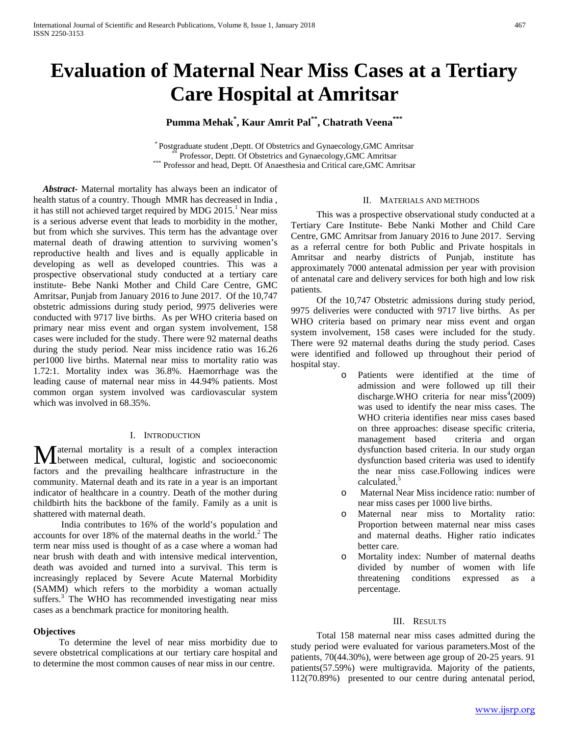# **Evaluation of Maternal Near Miss Cases at a Tertiary Care Hospital at Amritsar**

## **Pumma Mehak\* , Kaur Amrit Pal\*\*, Chatrath Veena\*\*\***

\* Postgraduate student ,Deptt. Of Obstetrics and Gynaecology,GMC Amritsar \*\* Professor, Deptt. Of Obstetrics and Gynaecology,GMC Amritsar \*\*\* Professor and head, Deptt. Of Anaesthesia and Critical care,GMC Amritsar

 *Abstract***-** Maternal mortality has always been an indicator of health status of a country. Though MMR has decreased in India , it has still not achieved target required by MDG  $2015<sup>1</sup>$  Near miss is a serious adverse event that leads to morbidity in the mother, but from which she survives. This term has the advantage over maternal death of drawing attention to surviving women's reproductive health and lives and is equally applicable in developing as well as developed countries. This was a prospective observational study conducted at a tertiary care institute- Bebe Nanki Mother and Child Care Centre, GMC Amritsar, Punjab from January 2016 to June 2017. Of the 10,747 obstetric admissions during study period, 9975 deliveries were conducted with 9717 live births. As per WHO criteria based on primary near miss event and organ system involvement, 158 cases were included for the study. There were 92 maternal deaths during the study period. Near miss incidence ratio was 16.26 per1000 live births. Maternal near miss to mortality ratio was 1.72:1. Mortality index was 36.8%. Haemorrhage was the leading cause of maternal near miss in 44.94% patients. Most common organ system involved was cardiovascular system which was involved in 68.35%.

## I. INTRODUCTION

**M** aternal mortality is a result of a complex interaction between medical, cultural, logistic and socioeconomic between medical, cultural, logistic and socioeconomic factors and the prevailing healthcare infrastructure in the community. Maternal death and its rate in a year is an important indicator of healthcare in a country. Death of the mother during childbirth hits the backbone of the family. Family as a unit is shattered with maternal death.

 India contributes to 16% of the world's population and accounts for over 18% of the maternal deaths in the world.<sup>2</sup> The term near miss used is thought of as a case where a woman had near brush with death and with intensive medical intervention, death was avoided and turned into a survival. This term is increasingly replaced by Severe Acute Maternal Morbidity (SAMM) which refers to the morbidity a woman actually suffers.<sup>3</sup> The WHO has recommended investigating near miss cases as a benchmark practice for monitoring health.

#### **Objectives**

 To determine the level of near miss morbidity due to severe obstetrical complications at our tertiary care hospital and to determine the most common causes of near miss in our centre.

#### II. MATERIALS AND METHODS

 This was a prospective observational study conducted at a Tertiary Care Institute- Bebe Nanki Mother and Child Care Centre, GMC Amritsar from January 2016 to June 2017. Serving as a referral centre for both Public and Private hospitals in Amritsar and nearby districts of Punjab, institute has approximately 7000 antenatal admission per year with provision of antenatal care and delivery services for both high and low risk patients.

 Of the 10,747 Obstetric admissions during study period, 9975 deliveries were conducted with 9717 live births. As per WHO criteria based on primary near miss event and organ system involvement, 158 cases were included for the study. There were 92 maternal deaths during the study period. Cases were identified and followed up throughout their period of hospital stay.

- o Patients were identified at the time of admission and were followed up till their discharge.WHO criteria for near  $\text{miss}^4(2009)$ was used to identify the near miss cases. The WHO criteria identifies near miss cases based on three approaches: disease specific criteria, management based criteria and organ dysfunction based criteria. In our study organ dysfunction based criteria was used to identify the near miss case.Following indices were calculated.<sup>5</sup>
- o Maternal Near Miss incidence ratio: number of near miss cases per 1000 live births.
- o Maternal near miss to Mortality ratio: Proportion between maternal near miss cases and maternal deaths. Higher ratio indicates better care.
- Mortality index: Number of maternal deaths divided by number of women with life threatening conditions expressed as a percentage.

#### III. RESULTS

 Total 158 maternal near miss cases admitted during the study period were evaluated for various parameters.Most of the patients, 70(44.30%), were between age group of 20-25 years. 91 patients(57.59%) were multigravida. Majority of the patients, 112(70.89%) presented to our centre during antenatal period,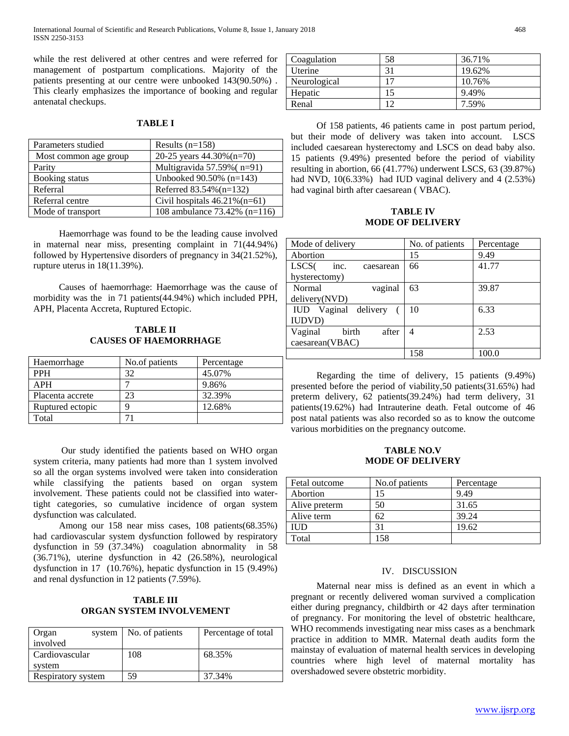International Journal of Scientific and Research Publications, Volume 8, Issue 1, January 2018 468 ISSN 2250-3153

while the rest delivered at other centres and were referred for management of postpartum complications. Majority of the patients presenting at our centre were unbooked 143(90.50%) . This clearly emphasizes the importance of booking and regular antenatal checkups.

## **TABLE I**

| Parameters studied    | Results $(n=158)$                |
|-----------------------|----------------------------------|
| Most common age group | 20-25 years 44.30% (n=70)        |
| Parity                | Multigravida 57.59% (n=91)       |
| Booking status        | Unbooked $90.50\%$ (n=143)       |
| Referral              | Referred 83.54% (n=132)          |
| Referral centre       | Civil hospitals $46.21\%$ (n=61) |
| Mode of transport     | 108 ambulance 73.42% (n=116)     |

 Haemorrhage was found to be the leading cause involved in maternal near miss, presenting complaint in 71(44.94%) followed by Hypertensive disorders of pregnancy in 34(21.52%), rupture uterus in 18(11.39%).

 Causes of haemorrhage: Haemorrhage was the cause of morbidity was the in 71 patients(44.94%) which included PPH, APH, Placenta Accreta, Ruptured Ectopic.

## **TABLE II CAUSES OF HAEMORRHAGE**

| Haemorrhage      | No.of patients | Percentage |
|------------------|----------------|------------|
| <b>PPH</b>       | 32             | 45.07%     |
| <b>APH</b>       |                | 9.86%      |
| Placenta accrete | 23             | 32.39%     |
| Ruptured ectopic |                | 12.68%     |
| Total            |                |            |

 Our study identified the patients based on WHO organ system criteria, many patients had more than 1 system involved so all the organ systems involved were taken into consideration while classifying the patients based on organ system involvement. These patients could not be classified into watertight categories, so cumulative incidence of organ system dysfunction was calculated.

 Among our 158 near miss cases, 108 patients(68.35%) had cardiovascular system dysfunction followed by respiratory dysfunction in 59 (37.34%) coagulation abnormality in 58 (36.71%), uterine dysfunction in 42 (26.58%), neurological dysfunction in 17 (10.76%), hepatic dysfunction in 15 (9.49%) and renal dysfunction in 12 patients (7.59%).

## **TABLE III ORGAN SYSTEM INVOLVEMENT**

| Organ<br>system<br>involved | No. of patients | Percentage of total |
|-----------------------------|-----------------|---------------------|
| Cardiovascular              | 108             | 68.35%              |
| system                      |                 |                     |
| Respiratory system          | 59              | 37.34%              |

| Coagulation  | 58 | 36.71% |
|--------------|----|--------|
| Uterine      | 31 | 19.62% |
| Neurological |    | 10.76% |
| Hepatic      | 15 | 9.49%  |
| Renal        |    | 7.59%  |

 Of 158 patients, 46 patients came in post partum period, but their mode of delivery was taken into account. LSCS included caesarean hysterectomy and LSCS on dead baby also. 15 patients (9.49%) presented before the period of viability resulting in abortion, 66 (41.77%) underwent LSCS, 63 (39.87%) had NVD, 10(6.33%) had IUD vaginal delivery and 4 (2.53%) had vaginal birth after caesarean ( VBAC).

**TABLE IV MODE OF DELIVERY**

| Mode of delivery                       | No. of patients | Percentage |
|----------------------------------------|-----------------|------------|
| Abortion                               | 15              | 9.49       |
| LSCS <sub>(</sub><br>inc.<br>caesarean | 66              | 41.77      |
| hysterectomy)                          |                 |            |
| Normal<br>vaginal                      | 63              | 39.87      |
| delivery(NVD)                          |                 |            |
| IUD Vaginal delivery                   | 10              | 6.33       |
| <b>IUDVD</b> )                         |                 |            |
| Vaginal<br><b>birth</b><br>after       | 4               | 2.53       |
| caesarean(VBAC)                        |                 |            |
|                                        | 158             | 100.0      |

 Regarding the time of delivery, 15 patients (9.49%) presented before the period of viability,50 patients(31.65%) had preterm delivery, 62 patients(39.24%) had term delivery, 31 patients(19.62%) had Intrauterine death. Fetal outcome of 46 post natal patients was also recorded so as to know the outcome various morbidities on the pregnancy outcome.

#### **TABLE NO.V MODE OF DELIVERY**

| Fetal outcome | No.of patients | Percentage |
|---------------|----------------|------------|
| Abortion      |                | 9.49       |
| Alive preterm | 50             | 31.65      |
| Alive term    | 62             | 39.24      |
| IUD           |                | 19.62      |
| Total         | 158            |            |

#### IV. DISCUSSION

 Maternal near miss is defined as an event in which a pregnant or recently delivered woman survived a complication either during pregnancy, childbirth or 42 days after termination of pregnancy. For monitoring the level of obstetric healthcare, WHO recommends investigating near miss cases as a benchmark practice in addition to MMR. Maternal death audits form the mainstay of evaluation of maternal health services in developing countries where high level of maternal mortality has overshadowed severe obstetric morbidity.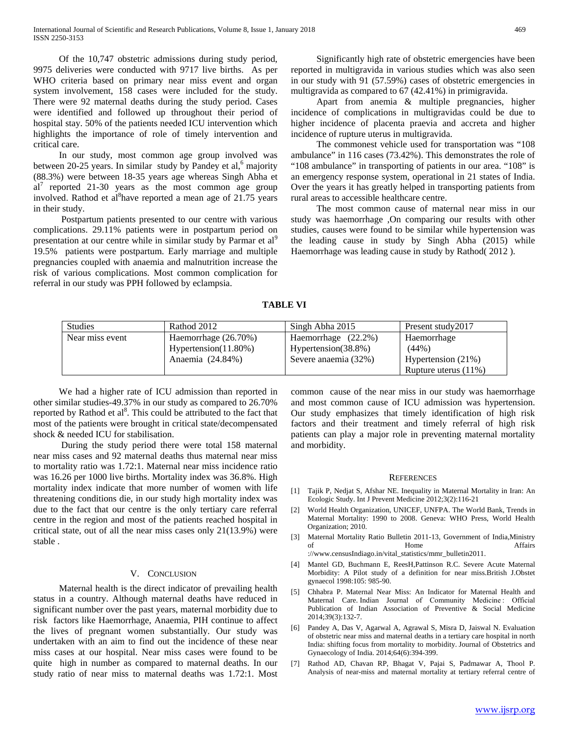Of the 10,747 obstetric admissions during study period, 9975 deliveries were conducted with 9717 live births. As per WHO criteria based on primary near miss event and organ system involvement, 158 cases were included for the study. There were 92 maternal deaths during the study period. Cases were identified and followed up throughout their period of hospital stay. 50% of the patients needed ICU intervention which highlights the importance of role of timely intervention and critical care.

 In our study, most common age group involved was between 20-25 years. In similar study by Pandey et al, $6$  majority (88.3%) were between 18-35 years age whereas Singh Abha et  $al<sup>7</sup>$  reported 21-30 years as the most common age group involved. Rathod et al<sup>8</sup> have reported a mean age of 21.75 years in their study.

 Postpartum patients presented to our centre with various complications. 29.11% patients were in postpartum period on presentation at our centre while in similar study by Parmar et al<sup>9</sup> 19.5% patients were postpartum. Early marriage and multiple pregnancies coupled with anaemia and malnutrition increase the risk of various complications. Most common complication for referral in our study was PPH followed by eclampsia.

 Significantly high rate of obstetric emergencies have been reported in multigravida in various studies which was also seen in our study with 91 (57.59%) cases of obstetric emergencies in multigravida as compared to 67 (42.41%) in primigravida.

 Apart from anemia & multiple pregnancies, higher incidence of complications in multigravidas could be due to higher incidence of placenta praevia and accreta and higher incidence of rupture uterus in multigravida.

 The commonest vehicle used for transportation was "108 ambulance" in 116 cases (73.42%). This demonstrates the role of "108 ambulance" in transporting of patients in our area. "108" is an emergency response system, operational in 21 states of India. Over the years it has greatly helped in transporting patients from rural areas to accessible healthcare centre.

 The most common cause of maternal near miss in our study was haemorrhage ,On comparing our results with other studies, causes were found to be similar while hypertension was the leading cause in study by Singh Abha (2015) while Haemorrhage was leading cause in study by Rathod( 2012 ).

| 'ABLE |  |
|-------|--|
|-------|--|

| <b>Studies</b>  | Rathod 2012          | Singh Abha 2015        | Present study 2017      |
|-----------------|----------------------|------------------------|-------------------------|
| Near miss event | Haemorrhage (26.70%) | Haemorrhage $(22.2\%)$ | Haemorrhage             |
|                 | Hypertension(11.80%) | Hypertension(38.8%)    | $(44\%)$                |
|                 | Anaemia (24.84%)     | Severe anaemia (32%)   | Hypertension $(21%)$    |
|                 |                      |                        | Rupture uterus $(11\%)$ |

 We had a higher rate of ICU admission than reported in other similar studies-49.37% in our study as compared to 26.70% reported by Rathod et al<sup>8</sup>. This could be attributed to the fact that most of the patients were brought in critical state/decompensated shock & needed ICU for stabilisation.

 During the study period there were total 158 maternal near miss cases and 92 maternal deaths thus maternal near miss to mortality ratio was 1.72:1. Maternal near miss incidence ratio was 16.26 per 1000 live births. Mortality index was 36.8%. High mortality index indicate that more number of women with life threatening conditions die, in our study high mortality index was due to the fact that our centre is the only tertiary care referral centre in the region and most of the patients reached hospital in critical state, out of all the near miss cases only 21(13.9%) were stable .

#### V. CONCLUSION

 Maternal health is the direct indicator of prevailing health status in a country. Although maternal deaths have reduced in significant number over the past years, maternal morbidity due to risk factors like Haemorrhage, Anaemia, PIH continue to affect the lives of pregnant women substantially. Our study was undertaken with an aim to find out the incidence of these near miss cases at our hospital. Near miss cases were found to be quite high in number as compared to maternal deaths. In our study ratio of near miss to maternal deaths was 1.72:1. Most

common cause of the near miss in our study was haemorrhage and most common cause of ICU admission was hypertension. Our study emphasizes that timely identification of high risk factors and their treatment and timely referral of high risk patients can play a major role in preventing maternal mortality and morbidity.

#### **REFERENCES**

- [1] Tajik P, Nedjat S, Afshar NE. Inequality in Maternal Mortality in Iran: An Ecologic Study. Int J Prevent Medicine 2012;3(2):116-21
- [2] World Health Organization, UNICEF, UNFPA. The World Bank, Trends in Maternal Mortality: 1990 to 2008. Geneva: WHO Press, World Health Organization; 2010.
- [3] Maternal Mortality Ratio Bulletin 2011-13, Government of India,Ministry of Home Affairs ://www.censusIndiago.in/vital\_statistics/mmr\_bulletin2011.
- [4] Mantel GD, Buchmann E, ReesH,Pattinson R.C. Severe Acute Maternal Morbidity: A Pilot study of a definition for near miss.British J.Obstet gynaecol 1998:105: 985-90.
- [5] Chhabra P. Maternal Near Miss: An Indicator for Maternal Health and Maternal Care. Indian Journal of Community Medicine: Official Publication of Indian Association of Preventive & Social Medicine 2014;39(3):132-7.
- [6] Pandey A, Das V, Agarwal A, Agrawal S, Misra D, Jaiswal N. Evaluation of obstetric near miss and maternal deaths in a tertiary care hospital in north India: shifting focus from mortality to morbidity. Journal of Obstetrics and Gynaecology of India. 2014;64(6):394-399.
- [7] Rathod AD, Chavan RP, Bhagat V, Pajai S, Padmawar A, Thool P. Analysis of near-miss and maternal mortality at tertiary referral centre of